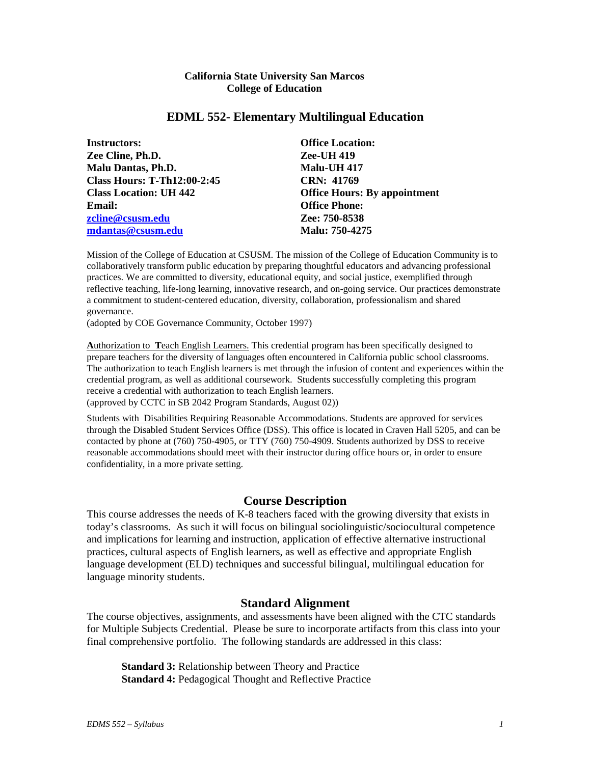### **California State University San Marcos College of Education**

### **EDML 552- Elementary Multilingual Education**

| <b>Instructors:</b>                | <b>Office Location:</b>             |
|------------------------------------|-------------------------------------|
| Zee Cline, Ph.D.                   | <b>Zee-UH 419</b>                   |
| <b>Malu Dantas, Ph.D.</b>          | Malu-UH 417                         |
| <b>Class Hours: T-Th12:00-2:45</b> | <b>CRN: 41769</b>                   |
| <b>Class Location: UH 442</b>      | <b>Office Hours: By appointment</b> |
| Email:                             | <b>Office Phone:</b>                |
| zcline@csusm.edu                   | Zee: 750-8538                       |
| mdantas@csusm.edu                  | <b>Malu: 750-4275</b>               |

Mission of the College of Education at CSUSM. The mission of the College of Education Community is to collaboratively transform public education by preparing thoughtful educators and advancing professional practices. We are committed to diversity, educational equity, and social justice, exemplified through reflective teaching, life-long learning, innovative research, and on-going service. Our practices demonstrate a commitment to student-centered education, diversity, collaboration, professionalism and shared governance.

(adopted by COE Governance Community, October 1997)

**A**uthorization to **T**each English Learners. This credential program has been specifically designed to prepare teachers for the diversity of languages often encountered in California public school classrooms. The authorization to teach English learners is met through the infusion of content and experiences within the credential program, as well as additional coursework. Students successfully completing this program receive a credential with authorization to teach English learners. (approved by CCTC in SB 2042 Program Standards, August 02))

Students with Disabilities Requiring Reasonable Accommodations. Students are approved for services through the Disabled Student Services Office (DSS). This office is located in Craven Hall 5205, and can be contacted by phone at (760) 750-4905, or TTY (760) 750-4909. Students authorized by DSS to receive reasonable accommodations should meet with their instructor during office hours or, in order to ensure confidentiality, in a more private setting.

# **Course Description**

This course addresses the needs of K-8 teachers faced with the growing diversity that exists in today's classrooms. As such it will focus on bilingual sociolinguistic/sociocultural competence and implications for learning and instruction, application of effective alternative instructional practices, cultural aspects of English learners, as well as effective and appropriate English language development (ELD) techniques and successful bilingual, multilingual education for language minority students.

### **Standard Alignment**

The course objectives, assignments, and assessments have been aligned with the CTC standards for Multiple Subjects Credential. Please be sure to incorporate artifacts from this class into your final comprehensive portfolio. The following standards are addressed in this class:

**Standard 3:** Relationship between Theory and Practice **Standard 4:** Pedagogical Thought and Reflective Practice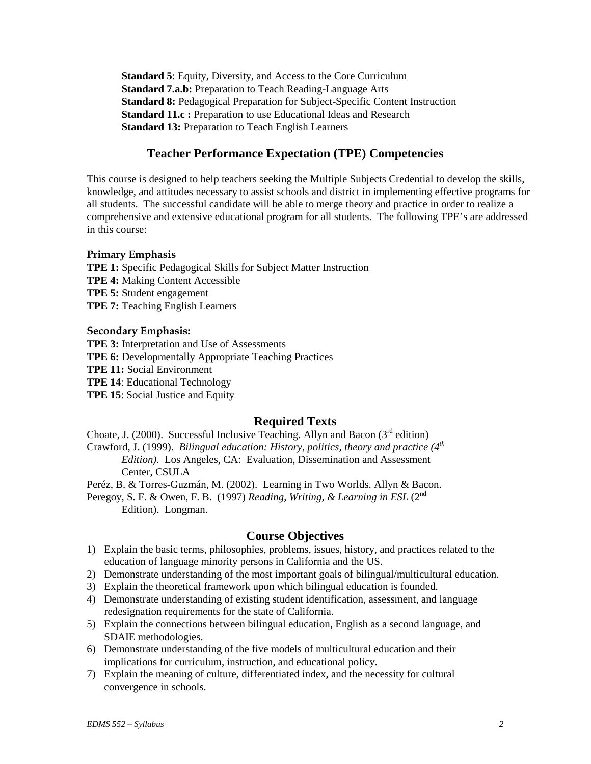**Standard 5**: Equity, Diversity, and Access to the Core Curriculum **Standard 7.a.b:** Preparation to Teach Reading-Language Arts **Standard 8:** Pedagogical Preparation for Subject-Specific Content Instruction **Standard 11.c :** Preparation to use Educational Ideas and Research **Standard 13:** Preparation to Teach English Learners

# **Teacher Performance Expectation (TPE) Competencies**

This course is designed to help teachers seeking the Multiple Subjects Credential to develop the skills, knowledge, and attitudes necessary to assist schools and district in implementing effective programs for all students. The successful candidate will be able to merge theory and practice in order to realize a comprehensive and extensive educational program for all students. The following TPE's are addressed in this course:

### **Primary Emphasis**

**TPE 1:** Specific Pedagogical Skills for Subject Matter Instruction **TPE 4:** Making Content Accessible **TPE 5:** Student engagement **TPE 7:** Teaching English Learners

### **Secondary Emphasis:**

**TPE 3:** Interpretation and Use of Assessments **TPE 6:** Developmentally Appropriate Teaching Practices **TPE 11:** Social Environment **TPE 14**: Educational Technology **TPE 15**: Social Justice and Equity

# **Required Texts**

Choate, J. (2000). Successful Inclusive Teaching. Allyn and Bacon ( $3<sup>rd</sup>$  edition) Crawford, J. (1999). *Bilingual education: History, politics, theory and practice* (4<sup>th</sup> *Edition).* Los Angeles, CA: Evaluation, Dissemination and Assessment Center, CSULA

Peréz, B. & Torres-Guzmán, M. (2002). Learning in Two Worlds. Allyn & Bacon.

Peregoy, S. F. & Owen, F. B. (1997) *Reading, Writing, & Learning in ESL* (2<sup>nd</sup> Edition). Longman.

# **Course Objectives**

- 1) Explain the basic terms, philosophies, problems, issues, history, and practices related to the education of language minority persons in California and the US.
- 2) Demonstrate understanding of the most important goals of bilingual/multicultural education.
- 3) Explain the theoretical framework upon which bilingual education is founded.
- 4) Demonstrate understanding of existing student identification, assessment, and language redesignation requirements for the state of California.
- 5) Explain the connections between bilingual education, English as a second language, and SDAIE methodologies.
- 6) Demonstrate understanding of the five models of multicultural education and their implications for curriculum, instruction, and educational policy.
- 7) Explain the meaning of culture, differentiated index, and the necessity for cultural convergence in schools.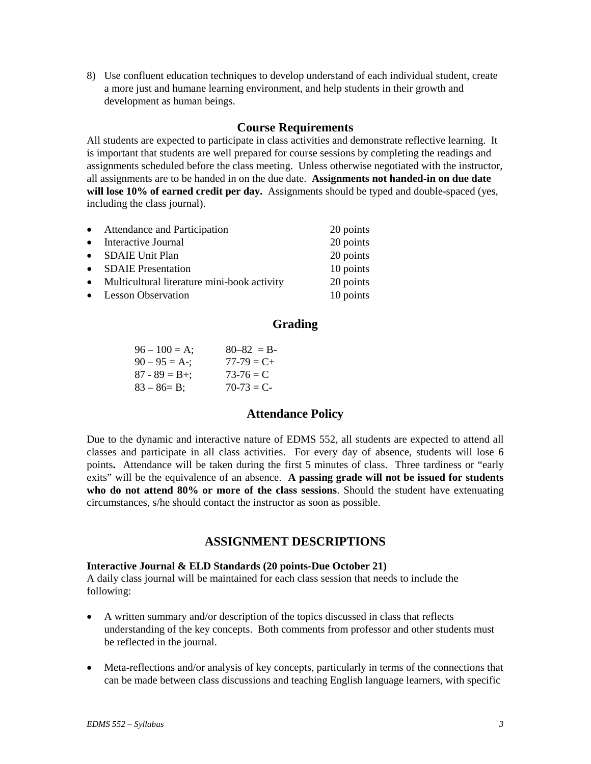8) Use confluent education techniques to develop understand of each individual student, create a more just and humane learning environment, and help students in their growth and development as human beings.

### **Course Requirements**

All students are expected to participate in class activities and demonstrate reflective learning. It is important that students are well prepared for course sessions by completing the readings and assignments scheduled before the class meeting. Unless otherwise negotiated with the instructor, all assignments are to be handed in on the due date. **Assignments not handed-in on due date will lose 10% of earned credit per day.** Assignments should be typed and double-spaced (yes, including the class journal).

| • Attendance and Participation                | 20 points |
|-----------------------------------------------|-----------|
| • Interactive Journal                         | 20 points |
| • SDAIE Unit Plan                             | 20 points |
| • SDAIE Presentation                          | 10 points |
| • Multicultural literature mini-book activity | 20 points |
| • Lesson Observation                          | 10 points |

# **Grading**

| $96 - 100 = A;$   | $80 - 82 = B$   |
|-------------------|-----------------|
| $90 - 95 = A -$ ; | $77 - 79 = C +$ |
| $87 - 89 = B +$ ; | $73-76 = C$     |
| $83 - 86 = B$ ;   | $70-73 = C$     |

### **Attendance Policy**

Due to the dynamic and interactive nature of EDMS 552, all students are expected to attend all classes and participate in all class activities. For every day of absence, students will lose 6 points**.** Attendance will be taken during the first 5 minutes of class. Three tardiness or "early exits" will be the equivalence of an absence. **A passing grade will not be issued for students who do not attend 80% or more of the class sessions**. Should the student have extenuating circumstances, s/he should contact the instructor as soon as possible.

# **ASSIGNMENT DESCRIPTIONS**

#### **Interactive Journal & ELD Standards (20 points-Due October 21)**

A daily class journal will be maintained for each class session that needs to include the following:

- A written summary and/or description of the topics discussed in class that reflects understanding of the key concepts. Both comments from professor and other students must be reflected in the journal.
- Meta-reflections and/or analysis of key concepts, particularly in terms of the connections that can be made between class discussions and teaching English language learners, with specific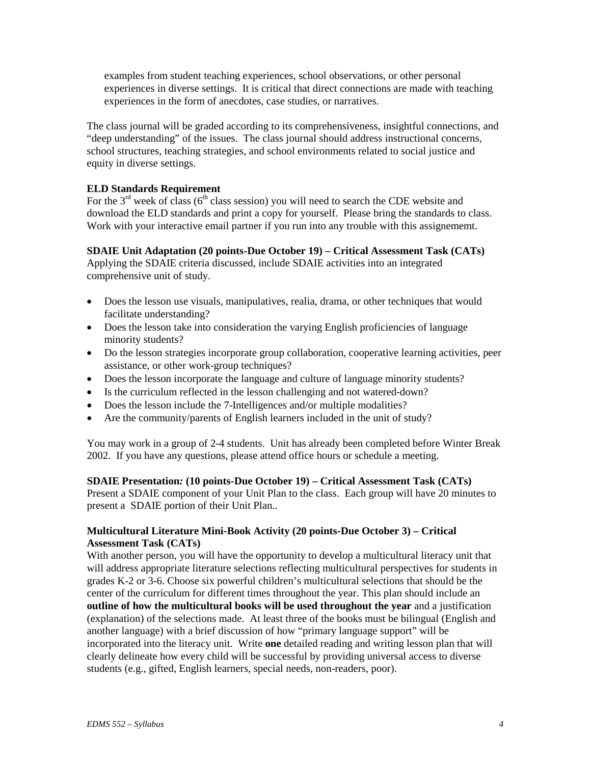examples from student teaching experiences, school observations, or other personal experiences in diverse settings. It is critical that direct connections are made with teaching experiences in the form of anecdotes, case studies, or narratives.

The class journal will be graded according to its comprehensiveness, insightful connections, and "deep understanding" of the issues. The class journal should address instructional concerns, school structures, teaching strategies, and school environments related to social justice and equity in diverse settings.

### **ELD Standards Requirement**

For the  $3<sup>rd</sup>$  week of class (6<sup>th</sup> class session) you will need to search the CDE website and download the ELD standards and print a copy for yourself. Please bring the standards to class. Work with your interactive email partner if you run into any trouble with this assignememt.

### **SDAIE Unit Adaptation (20 points-Due October 19) – Critical Assessment Task (CATs)**

Applying the SDAIE criteria discussed, include SDAIE activities into an integrated comprehensive unit of study.

- Does the lesson use visuals, manipulatives, realia, drama, or other techniques that would facilitate understanding?
- Does the lesson take into consideration the varying English proficiencies of language minority students?
- Do the lesson strategies incorporate group collaboration, cooperative learning activities, peer assistance, or other work-group techniques?
- Does the lesson incorporate the language and culture of language minority students?
- Is the curriculum reflected in the lesson challenging and not watered-down?
- Does the lesson include the 7-Intelligences and/or multiple modalities?
- Are the community/parents of English learners included in the unit of study?

You may work in a group of 2-4 students. Unit has already been completed before Winter Break 2002. If you have any questions, please attend office hours or schedule a meeting.

### **SDAIE Presentation***:* **(10 points-Due October 19) – Critical Assessment Task (CATs)**

Present a SDAIE component of your Unit Plan to the class. Each group will have 20 minutes to present a SDAIE portion of their Unit Plan*..*

### **Multicultural Literature Mini-Book Activity (20 points-Due October 3) – Critical Assessment Task (CATs)**

With another person, you will have the opportunity to develop a multicultural literacy unit that will address appropriate literature selections reflecting multicultural perspectives for students in grades K-2 or 3-6. Choose six powerful children's multicultural selections that should be the center of the curriculum for different times throughout the year. This plan should include an **outline of how the multicultural books will be used throughout the year** and a justification (explanation) of the selections made. At least three of the books must be bilingual (English and another language) with a brief discussion of how "primary language support" will be incorporated into the literacy unit. Write **one** detailed reading and writing lesson plan that will clearly delineate how every child will be successful by providing universal access to diverse students (e.g., gifted, English learners, special needs, non-readers, poor).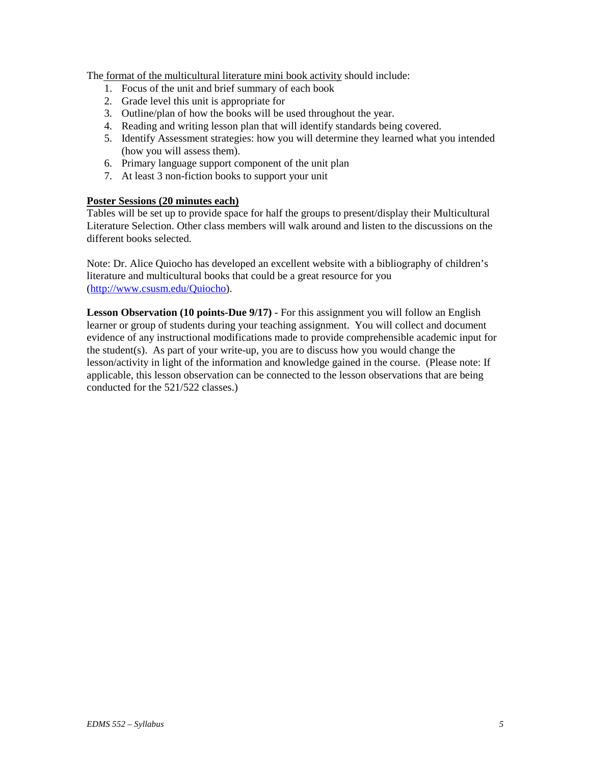The format of the multicultural literature mini book activity should include:

- 1. Focus of the unit and brief summary of each book
- 2. Grade level this unit is appropriate for
- 3. Outline/plan of how the books will be used throughout the year.
- 4. Reading and writing lesson plan that will identify standards being covered.
- 5. Identify Assessment strategies: how you will determine they learned what you intended (how you will assess them).
- 6. Primary language support component of the unit plan
- 7. At least 3 non-fiction books to support your unit

### **Poster Sessions (20 minutes each)**

Tables will be set up to provide space for half the groups to present/display their Multicultural Literature Selection. Other class members will walk around and listen to the discussions on the different books selected.

Note: Dr. Alice Quiocho has developed an excellent website with a bibliography of children's literature and multicultural books that could be a great resource for you [\(http://www.csusm.edu/Quiocho\)](http://www.csusm.edu/Quiocho).

**Lesson Observation (10 points-Due 9/17)** *-* For this assignment you will follow an English learner or group of students during your teaching assignment. You will collect and document evidence of any instructional modifications made to provide comprehensible academic input for the student(s). As part of your write-up, you are to discuss how you would change the lesson/activity in light of the information and knowledge gained in the course. (Please note: If applicable, this lesson observation can be connected to the lesson observations that are being conducted for the 521/522 classes.)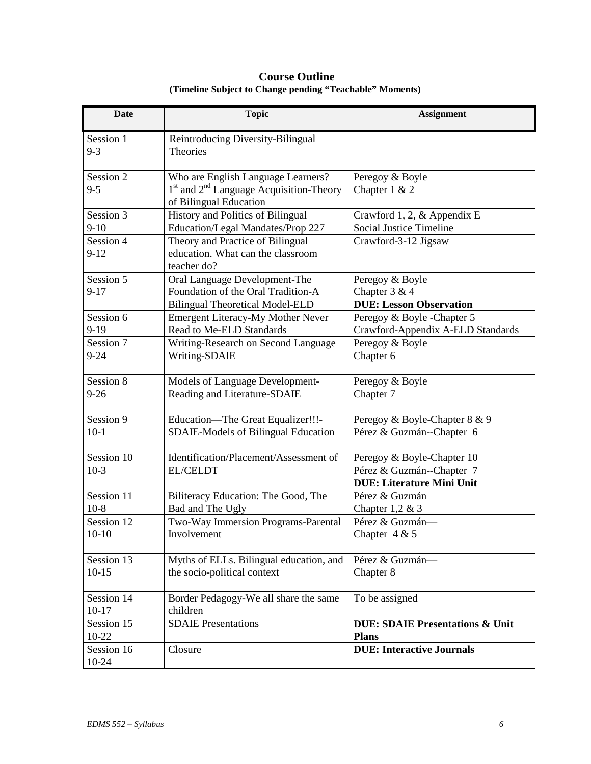| <b>Course Outline</b>                                    |  |
|----------------------------------------------------------|--|
| (Timeline Subject to Change pending "Teachable" Moments) |  |

| <b>Date</b>             | <b>Topic</b>                                                                                                                    | <b>Assignment</b>                                                                           |
|-------------------------|---------------------------------------------------------------------------------------------------------------------------------|---------------------------------------------------------------------------------------------|
| Session 1<br>$9 - 3$    | Reintroducing Diversity-Bilingual<br><b>Theories</b>                                                                            |                                                                                             |
| Session 2<br>$9 - 5$    | Who are English Language Learners?<br>1 <sup>st</sup> and 2 <sup>nd</sup> Language Acquisition-Theory<br>of Bilingual Education | Peregoy & Boyle<br>Chapter $1 & 2$                                                          |
| Session 3<br>$9-10$     | <b>History and Politics of Bilingual</b><br>Education/Legal Mandates/Prop 227                                                   | Crawford 1, 2, & Appendix E<br><b>Social Justice Timeline</b>                               |
| Session 4<br>$9-12$     | Theory and Practice of Bilingual<br>education. What can the classroom<br>teacher do?                                            | Crawford-3-12 Jigsaw                                                                        |
| Session 5<br>$9 - 17$   | Oral Language Development-The<br>Foundation of the Oral Tradition-A<br><b>Bilingual Theoretical Model-ELD</b>                   | Peregoy & Boyle<br>Chapter $3 & 4$<br><b>DUE: Lesson Observation</b>                        |
| Session 6<br>$9-19$     | <b>Emergent Literacy-My Mother Never</b><br>Read to Me-ELD Standards                                                            | Peregoy & Boyle -Chapter 5<br>Crawford-Appendix A-ELD Standards                             |
| Session 7<br>$9 - 24$   | Writing-Research on Second Language<br>Writing-SDAIE                                                                            | Peregoy & Boyle<br>Chapter 6                                                                |
| Session 8<br>$9 - 26$   | Models of Language Development-<br>Reading and Literature-SDAIE                                                                 | Peregoy & Boyle<br>Chapter 7                                                                |
| Session 9<br>$10-1$     | Education-The Great Equalizer!!!-<br>SDAIE-Models of Bilingual Education                                                        | Peregoy & Boyle-Chapter 8 & 9<br>Pérez & Guzmán--Chapter 6                                  |
| Session 10<br>$10-3$    | Identification/Placement/Assessment of<br><b>EL/CELDT</b>                                                                       | Peregoy & Boyle-Chapter 10<br>Pérez & Guzmán--Chapter 7<br><b>DUE: Literature Mini Unit</b> |
| Session 11<br>$10-8$    | Biliteracy Education: The Good, The<br>Bad and The Ugly                                                                         | Pérez & Guzmán<br>Chapter $1,2 \& 3$                                                        |
| Session 12<br>$10-10$   | Two-Way Immersion Programs-Parental<br>Involvement                                                                              | Pérez & Guzmán-<br>Chapter $4 & 5$                                                          |
| Session 13<br>$10 - 15$ | Myths of ELLs. Bilingual education, and<br>the socio-political context                                                          | Pérez & Guzmán-<br>Chapter 8                                                                |
| Session 14<br>$10-17$   | Border Pedagogy-We all share the same<br>children                                                                               | To be assigned                                                                              |
| Session 15<br>$10 - 22$ | <b>SDAIE</b> Presentations                                                                                                      | <b>DUE: SDAIE Presentations &amp; Unit</b><br><b>Plans</b>                                  |
| Session 16<br>10-24     | Closure                                                                                                                         | <b>DUE: Interactive Journals</b>                                                            |